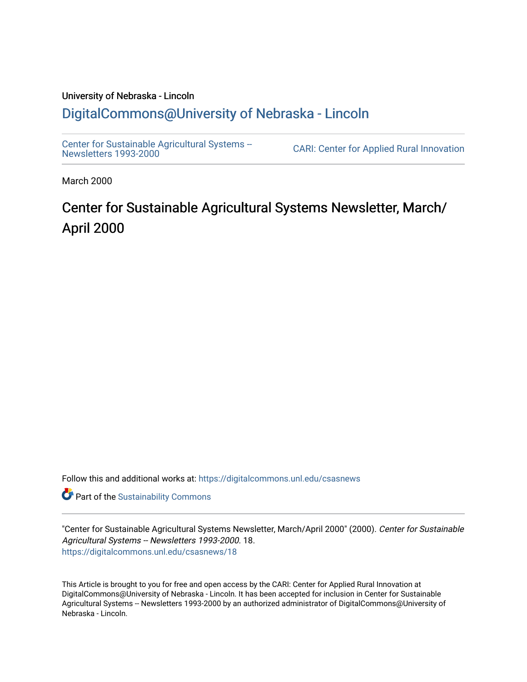### University of Nebraska - Lincoln [DigitalCommons@University of Nebraska - Lincoln](https://digitalcommons.unl.edu/)

[Center for Sustainable Agricultural Systems --](https://digitalcommons.unl.edu/csasnews)<br>Newsletters 1993-2000

CARI: Center for Applied Rural Innovation

March 2000

# Center for Sustainable Agricultural Systems Newsletter, March/ April 2000

Follow this and additional works at: [https://digitalcommons.unl.edu/csasnews](https://digitalcommons.unl.edu/csasnews?utm_source=digitalcommons.unl.edu%2Fcsasnews%2F18&utm_medium=PDF&utm_campaign=PDFCoverPages) 

**Part of the [Sustainability Commons](http://network.bepress.com/hgg/discipline/1031?utm_source=digitalcommons.unl.edu%2Fcsasnews%2F18&utm_medium=PDF&utm_campaign=PDFCoverPages)** 

"Center for Sustainable Agricultural Systems Newsletter, March/April 2000" (2000). Center for Sustainable Agricultural Systems -- Newsletters 1993-2000. 18. [https://digitalcommons.unl.edu/csasnews/18](https://digitalcommons.unl.edu/csasnews/18?utm_source=digitalcommons.unl.edu%2Fcsasnews%2F18&utm_medium=PDF&utm_campaign=PDFCoverPages) 

This Article is brought to you for free and open access by the CARI: Center for Applied Rural Innovation at DigitalCommons@University of Nebraska - Lincoln. It has been accepted for inclusion in Center for Sustainable Agricultural Systems -- Newsletters 1993-2000 by an authorized administrator of DigitalCommons@University of Nebraska - Lincoln.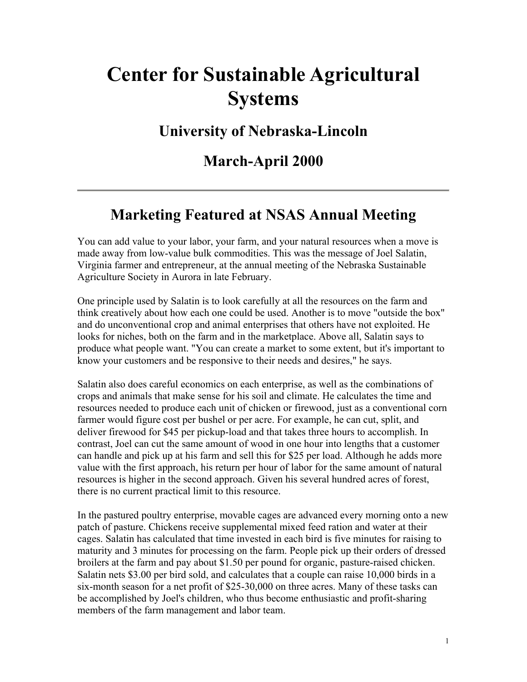# **Center for Sustainable Agricultural Systems**

### **University of Nebraska-Lincoln**

### **March-April 2000**

# **Marketing Featured at NSAS Annual Meeting**

You can add value to your labor, your farm, and your natural resources when a move is made away from low-value bulk commodities. This was the message of Joel Salatin, Virginia farmer and entrepreneur, at the annual meeting of the Nebraska Sustainable Agriculture Society in Aurora in late February.

One principle used by Salatin is to look carefully at all the resources on the farm and think creatively about how each one could be used. Another is to move "outside the box" and do unconventional crop and animal enterprises that others have not exploited. He looks for niches, both on the farm and in the marketplace. Above all, Salatin says to produce what people want. "You can create a market to some extent, but it's important to know your customers and be responsive to their needs and desires," he says.

Salatin also does careful economics on each enterprise, as well as the combinations of crops and animals that make sense for his soil and climate. He calculates the time and resources needed to produce each unit of chicken or firewood, just as a conventional corn farmer would figure cost per bushel or per acre. For example, he can cut, split, and deliver firewood for \$45 per pickup-load and that takes three hours to accomplish. In contrast, Joel can cut the same amount of wood in one hour into lengths that a customer can handle and pick up at his farm and sell this for \$25 per load. Although he adds more value with the first approach, his return per hour of labor for the same amount of natural resources is higher in the second approach. Given his several hundred acres of forest, there is no current practical limit to this resource.

In the pastured poultry enterprise, movable cages are advanced every morning onto a new patch of pasture. Chickens receive supplemental mixed feed ration and water at their cages. Salatin has calculated that time invested in each bird is five minutes for raising to maturity and 3 minutes for processing on the farm. People pick up their orders of dressed broilers at the farm and pay about \$1.50 per pound for organic, pasture-raised chicken. Salatin nets \$3.00 per bird sold, and calculates that a couple can raise 10,000 birds in a six-month season for a net profit of \$25-30,000 on three acres. Many of these tasks can be accomplished by Joel's children, who thus become enthusiastic and profit-sharing members of the farm management and labor team.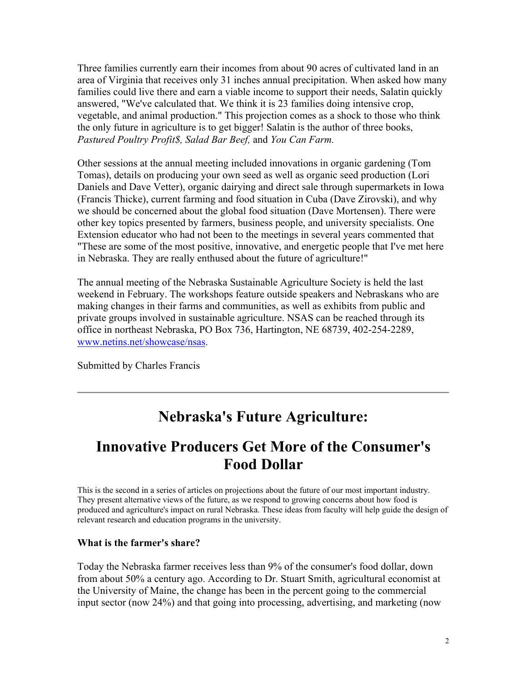Three families currently earn their incomes from about 90 acres of cultivated land in an area of Virginia that receives only 31 inches annual precipitation. When asked how many families could live there and earn a viable income to support their needs, Salatin quickly answered, "We've calculated that. We think it is 23 families doing intensive crop, vegetable, and animal production." This projection comes as a shock to those who think the only future in agriculture is to get bigger! Salatin is the author of three books, *Pastured Poultry Profit\$, Salad Bar Beef,* and *You Can Farm.*

Other sessions at the annual meeting included innovations in organic gardening (Tom Tomas), details on producing your own seed as well as organic seed production (Lori Daniels and Dave Vetter), organic dairying and direct sale through supermarkets in Iowa (Francis Thicke), current farming and food situation in Cuba (Dave Zirovski), and why we should be concerned about the global food situation (Dave Mortensen). There were other key topics presented by farmers, business people, and university specialists. One Extension educator who had not been to the meetings in several years commented that "These are some of the most positive, innovative, and energetic people that I've met here in Nebraska. They are really enthused about the future of agriculture!"

The annual meeting of the Nebraska Sustainable Agriculture Society is held the last weekend in February. The workshops feature outside speakers and Nebraskans who are making changes in their farms and communities, as well as exhibits from public and private groups involved in sustainable agriculture. NSAS can be reached through its office in northeast Nebraska, PO Box 736, Hartington, NE 68739, 402-254-2289, www.netins.net/showcase/nsas.

Submitted by Charles Francis

### **Nebraska's Future Agriculture:**

# **Innovative Producers Get More of the Consumer's Food Dollar**

This is the second in a series of articles on projections about the future of our most important industry. They present alternative views of the future, as we respond to growing concerns about how food is produced and agriculture's impact on rural Nebraska. These ideas from faculty will help guide the design of relevant research and education programs in the university.

#### **What is the farmer's share?**

Today the Nebraska farmer receives less than 9% of the consumer's food dollar, down from about 50% a century ago. According to Dr. Stuart Smith, agricultural economist at the University of Maine, the change has been in the percent going to the commercial input sector (now 24%) and that going into processing, advertising, and marketing (now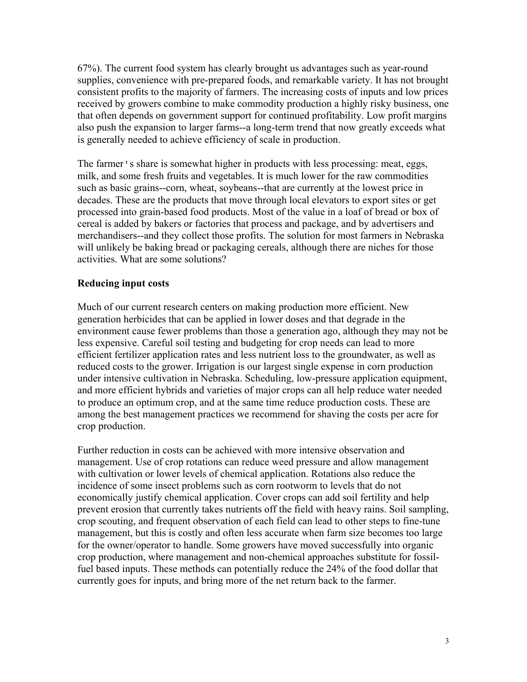67%). The current food system has clearly brought us advantages such as year-round supplies, convenience with pre-prepared foods, and remarkable variety. It has not brought consistent profits to the majority of farmers. The increasing costs of inputs and low prices received by growers combine to make commodity production a highly risky business, one that often depends on government support for continued profitability. Low profit margins also push the expansion to larger farms--a long-term trend that now greatly exceeds what is generally needed to achieve efficiency of scale in production.

The farmer's share is somewhat higher in products with less processing: meat, eggs, milk, and some fresh fruits and vegetables. It is much lower for the raw commodities such as basic grains--corn, wheat, soybeans--that are currently at the lowest price in decades. These are the products that move through local elevators to export sites or get processed into grain-based food products. Most of the value in a loaf of bread or box of cereal is added by bakers or factories that process and package, and by advertisers and merchandisers--and they collect those profits. The solution for most farmers in Nebraska will unlikely be baking bread or packaging cereals, although there are niches for those activities. What are some solutions?

#### **Reducing input costs**

Much of our current research centers on making production more efficient. New generation herbicides that can be applied in lower doses and that degrade in the environment cause fewer problems than those a generation ago, although they may not be less expensive. Careful soil testing and budgeting for crop needs can lead to more efficient fertilizer application rates and less nutrient loss to the groundwater, as well as reduced costs to the grower. Irrigation is our largest single expense in corn production under intensive cultivation in Nebraska. Scheduling, low-pressure application equipment, and more efficient hybrids and varieties of major crops can all help reduce water needed to produce an optimum crop, and at the same time reduce production costs. These are among the best management practices we recommend for shaving the costs per acre for crop production.

Further reduction in costs can be achieved with more intensive observation and management. Use of crop rotations can reduce weed pressure and allow management with cultivation or lower levels of chemical application. Rotations also reduce the incidence of some insect problems such as corn rootworm to levels that do not economically justify chemical application. Cover crops can add soil fertility and help prevent erosion that currently takes nutrients off the field with heavy rains. Soil sampling, crop scouting, and frequent observation of each field can lead to other steps to fine-tune management, but this is costly and often less accurate when farm size becomes too large for the owner/operator to handle. Some growers have moved successfully into organic crop production, where management and non-chemical approaches substitute for fossilfuel based inputs. These methods can potentially reduce the 24% of the food dollar that currently goes for inputs, and bring more of the net return back to the farmer.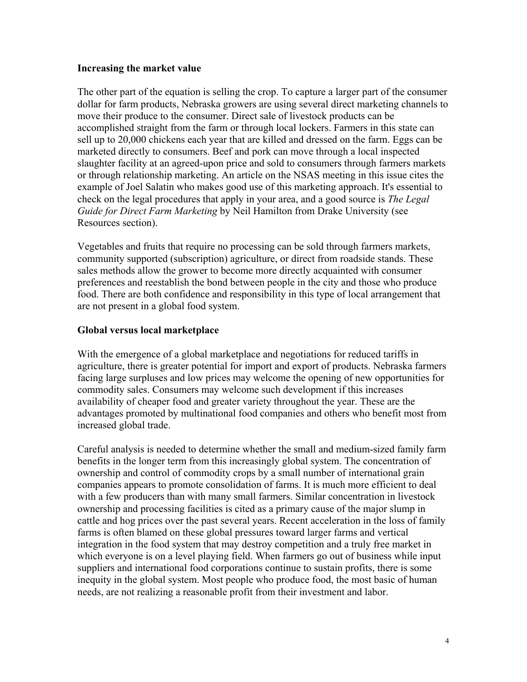#### **Increasing the market value**

The other part of the equation is selling the crop. To capture a larger part of the consumer dollar for farm products, Nebraska growers are using several direct marketing channels to move their produce to the consumer. Direct sale of livestock products can be accomplished straight from the farm or through local lockers. Farmers in this state can sell up to 20,000 chickens each year that are killed and dressed on the farm. Eggs can be marketed directly to consumers. Beef and pork can move through a local inspected slaughter facility at an agreed-upon price and sold to consumers through farmers markets or through relationship marketing. An article on the NSAS meeting in this issue cites the example of Joel Salatin who makes good use of this marketing approach. It's essential to check on the legal procedures that apply in your area, and a good source is *The Legal Guide for Direct Farm Marketing* by Neil Hamilton from Drake University (see Resources section).

Vegetables and fruits that require no processing can be sold through farmers markets, community supported (subscription) agriculture, or direct from roadside stands. These sales methods allow the grower to become more directly acquainted with consumer preferences and reestablish the bond between people in the city and those who produce food. There are both confidence and responsibility in this type of local arrangement that are not present in a global food system.

#### **Global versus local marketplace**

With the emergence of a global marketplace and negotiations for reduced tariffs in agriculture, there is greater potential for import and export of products. Nebraska farmers facing large surpluses and low prices may welcome the opening of new opportunities for commodity sales. Consumers may welcome such development if this increases availability of cheaper food and greater variety throughout the year. These are the advantages promoted by multinational food companies and others who benefit most from increased global trade.

Careful analysis is needed to determine whether the small and medium-sized family farm benefits in the longer term from this increasingly global system. The concentration of ownership and control of commodity crops by a small number of international grain companies appears to promote consolidation of farms. It is much more efficient to deal with a few producers than with many small farmers. Similar concentration in livestock ownership and processing facilities is cited as a primary cause of the major slump in cattle and hog prices over the past several years. Recent acceleration in the loss of family farms is often blamed on these global pressures toward larger farms and vertical integration in the food system that may destroy competition and a truly free market in which everyone is on a level playing field. When farmers go out of business while input suppliers and international food corporations continue to sustain profits, there is some inequity in the global system. Most people who produce food, the most basic of human needs, are not realizing a reasonable profit from their investment and labor.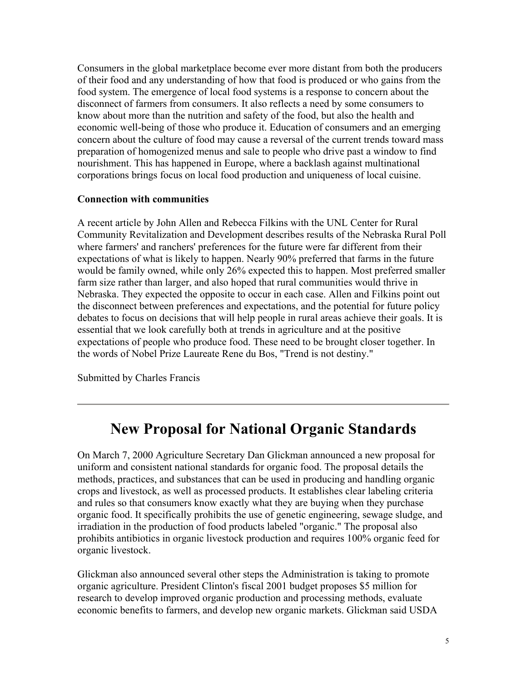Consumers in the global marketplace become ever more distant from both the producers of their food and any understanding of how that food is produced or who gains from the food system. The emergence of local food systems is a response to concern about the disconnect of farmers from consumers. It also reflects a need by some consumers to know about more than the nutrition and safety of the food, but also the health and economic well-being of those who produce it. Education of consumers and an emerging concern about the culture of food may cause a reversal of the current trends toward mass preparation of homogenized menus and sale to people who drive past a window to find nourishment. This has happened in Europe, where a backlash against multinational corporations brings focus on local food production and uniqueness of local cuisine.

#### **Connection with communities**

A recent article by John Allen and Rebecca Filkins with the UNL Center for Rural Community Revitalization and Development describes results of the Nebraska Rural Poll where farmers' and ranchers' preferences for the future were far different from their expectations of what is likely to happen. Nearly 90% preferred that farms in the future would be family owned, while only 26% expected this to happen. Most preferred smaller farm size rather than larger, and also hoped that rural communities would thrive in Nebraska. They expected the opposite to occur in each case. Allen and Filkins point out the disconnect between preferences and expectations, and the potential for future policy debates to focus on decisions that will help people in rural areas achieve their goals. It is essential that we look carefully both at trends in agriculture and at the positive expectations of people who produce food. These need to be brought closer together. In the words of Nobel Prize Laureate Rene du Bos, "Trend is not destiny."

Submitted by Charles Francis

### **New Proposal for National Organic Standards**

On March 7, 2000 Agriculture Secretary Dan Glickman announced a new proposal for uniform and consistent national standards for organic food. The proposal details the methods, practices, and substances that can be used in producing and handling organic crops and livestock, as well as processed products. It establishes clear labeling criteria and rules so that consumers know exactly what they are buying when they purchase organic food. It specifically prohibits the use of genetic engineering, sewage sludge, and irradiation in the production of food products labeled "organic." The proposal also prohibits antibiotics in organic livestock production and requires 100% organic feed for organic livestock.

Glickman also announced several other steps the Administration is taking to promote organic agriculture. President Clinton's fiscal 2001 budget proposes \$5 million for research to develop improved organic production and processing methods, evaluate economic benefits to farmers, and develop new organic markets. Glickman said USDA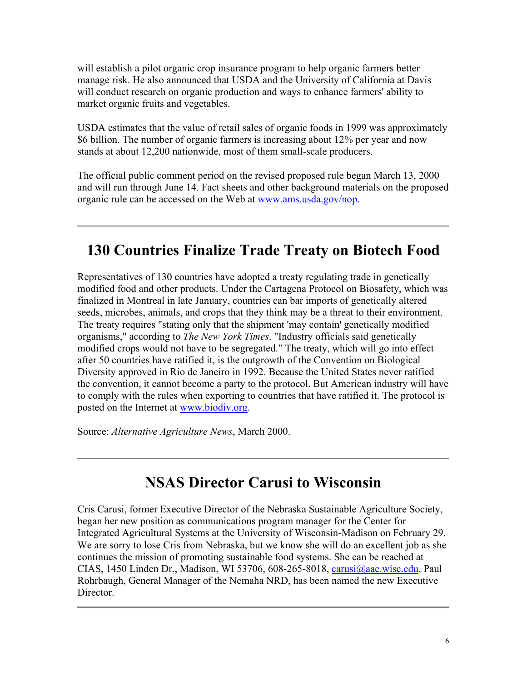will establish a pilot organic crop insurance program to help organic farmers better manage risk. He also announced that USDA and the University of California at Davis will conduct research on organic production and ways to enhance farmers' ability to market organic fruits and vegetables.

USDA estimates that the value of retail sales of organic foods in 1999 was approximately \$6 billion. The number of organic farmers is increasing about 12% per year and now stands at about 12,200 nationwide, most of them small-scale producers.

The official public comment period on the revised proposed rule began March 13, 2000 and will run through June 14. Fact sheets and other background materials on the proposed organic rule can be accessed on the Web at www.ams.usda.gov/nop.

# **130 Countries Finalize Trade Treaty on Biotech Food**

Representatives of 130 countries have adopted a treaty regulating trade in genetically modified food and other products. Under the Cartagena Protocol on Biosafety, which was finalized in Montreal in late January, countries can bar imports of genetically altered seeds, microbes, animals, and crops that they think may be a threat to their environment. The treaty requires "stating only that the shipment 'may contain' genetically modified organisms," according to *The New York Times*. "Industry officials said genetically modified crops would not have to be segregated." The treaty, which will go into effect after 50 countries have ratified it, is the outgrowth of the Convention on Biological Diversity approved in Rio de Janeiro in 1992. Because the United States never ratified the convention, it cannot become a party to the protocol. But American industry will have to comply with the rules when exporting to countries that have ratified it. The protocol is posted on the Internet at www.biodiv.org.

Source: *Alternative Agriculture News*, March 2000.

# **NSAS Director Carusi to Wisconsin**

Cris Carusi, former Executive Director of the Nebraska Sustainable Agriculture Society, began her new position as communications program manager for the Center for Integrated Agricultural Systems at the University of Wisconsin-Madison on February 29. We are sorry to lose Cris from Nebraska, but we know she will do an excellent job as she continues the mission of promoting sustainable food systems. She can be reached at CIAS, 1450 Linden Dr., Madison, WI 53706, 608-265-8018, carusi@aae.wisc.edu. Paul Rohrbaugh, General Manager of the Nemaha NRD, has been named the new Executive Director.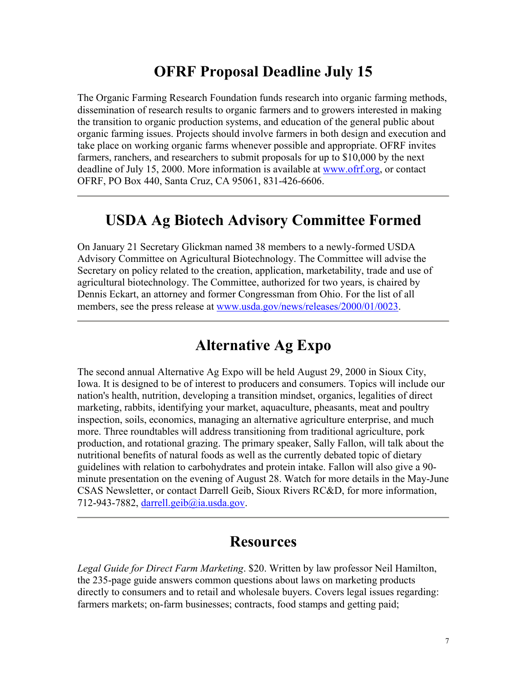### **OFRF Proposal Deadline July 15**

The Organic Farming Research Foundation funds research into organic farming methods, dissemination of research results to organic farmers and to growers interested in making the transition to organic production systems, and education of the general public about organic farming issues. Projects should involve farmers in both design and execution and take place on working organic farms whenever possible and appropriate. OFRF invites farmers, ranchers, and researchers to submit proposals for up to \$10,000 by the next deadline of July 15, 2000. More information is available at www.ofrf.org, or contact OFRF, PO Box 440, Santa Cruz, CA 95061, 831-426-6606.

### **USDA Ag Biotech Advisory Committee Formed**

On January 21 Secretary Glickman named 38 members to a newly-formed USDA Advisory Committee on Agricultural Biotechnology. The Committee will advise the Secretary on policy related to the creation, application, marketability, trade and use of agricultural biotechnology. The Committee, authorized for two years, is chaired by Dennis Eckart, an attorney and former Congressman from Ohio. For the list of all members, see the press release at www.usda.gov/news/releases/2000/01/0023.

### **Alternative Ag Expo**

The second annual Alternative Ag Expo will be held August 29, 2000 in Sioux City, Iowa. It is designed to be of interest to producers and consumers. Topics will include our nation's health, nutrition, developing a transition mindset, organics, legalities of direct marketing, rabbits, identifying your market, aquaculture, pheasants, meat and poultry inspection, soils, economics, managing an alternative agriculture enterprise, and much more. Three roundtables will address transitioning from traditional agriculture, pork production, and rotational grazing. The primary speaker, Sally Fallon, will talk about the nutritional benefits of natural foods as well as the currently debated topic of dietary guidelines with relation to carbohydrates and protein intake. Fallon will also give a 90 minute presentation on the evening of August 28. Watch for more details in the May-June CSAS Newsletter, or contact Darrell Geib, Sioux Rivers RC&D, for more information, 712-943-7882, darrell.geib@ia.usda.gov.

### **Resources**

*Legal Guide for Direct Farm Marketing*. \$20. Written by law professor Neil Hamilton, the 235-page guide answers common questions about laws on marketing products directly to consumers and to retail and wholesale buyers. Covers legal issues regarding: farmers markets; on-farm businesses; contracts, food stamps and getting paid;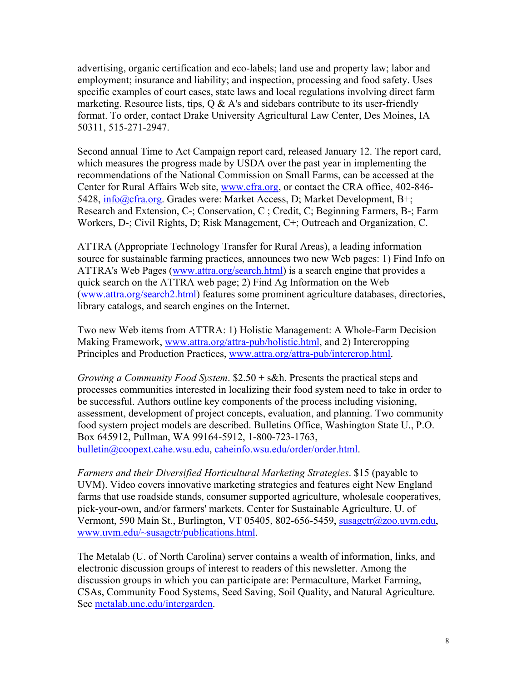advertising, organic certification and eco-labels; land use and property law; labor and employment; insurance and liability; and inspection, processing and food safety. Uses specific examples of court cases, state laws and local regulations involving direct farm marketing. Resource lists, tips,  $Q \& A$ 's and sidebars contribute to its user-friendly format. To order, contact Drake University Agricultural Law Center, Des Moines, IA 50311, 515-271-2947.

Second annual Time to Act Campaign report card, released January 12. The report card, which measures the progress made by USDA over the past year in implementing the recommendations of the National Commission on Small Farms, can be accessed at the Center for Rural Affairs Web site, www.cfra.org, or contact the CRA office, 402-846- 5428, info@cfra.org. Grades were: Market Access, D; Market Development, B+; Research and Extension, C-; Conservation, C ; Credit, C; Beginning Farmers, B-; Farm Workers, D-; Civil Rights, D; Risk Management, C+; Outreach and Organization, C.

ATTRA (Appropriate Technology Transfer for Rural Areas), a leading information source for sustainable farming practices, announces two new Web pages: 1) Find Info on ATTRA's Web Pages (www.attra.org/search.html) is a search engine that provides a quick search on the ATTRA web page; 2) Find Ag Information on the Web (www.attra.org/search2.html) features some prominent agriculture databases, directories, library catalogs, and search engines on the Internet.

Two new Web items from ATTRA: 1) Holistic Management: A Whole-Farm Decision Making Framework, www.attra.org/attra-pub/holistic.html, and 2) Intercropping Principles and Production Practices, www.attra.org/attra-pub/intercrop.html.

*Growing a Community Food System*. \$2.50 + s&h. Presents the practical steps and processes communities interested in localizing their food system need to take in order to be successful. Authors outline key components of the process including visioning, assessment, development of project concepts, evaluation, and planning. Two community food system project models are described. Bulletins Office, Washington State U., P.O. Box 645912, Pullman, WA 99164-5912, 1-800-723-1763, bulletin@coopext.cahe.wsu.edu, caheinfo.wsu.edu/order/order.html.

*Farmers and their Diversified Horticultural Marketing Strategies*. \$15 (payable to UVM). Video covers innovative marketing strategies and features eight New England farms that use roadside stands, consumer supported agriculture, wholesale cooperatives, pick-your-own, and/or farmers' markets. Center for Sustainable Agriculture, U. of Vermont, 590 Main St., Burlington, VT 05405, 802-656-5459, susagctr@zoo.uvm.edu, www.uvm.edu/~susagctr/publications.html.

The Metalab (U. of North Carolina) server contains a wealth of information, links, and electronic discussion groups of interest to readers of this newsletter. Among the discussion groups in which you can participate are: Permaculture, Market Farming, CSAs, Community Food Systems, Seed Saving, Soil Quality, and Natural Agriculture. See metalab.unc.edu/intergarden.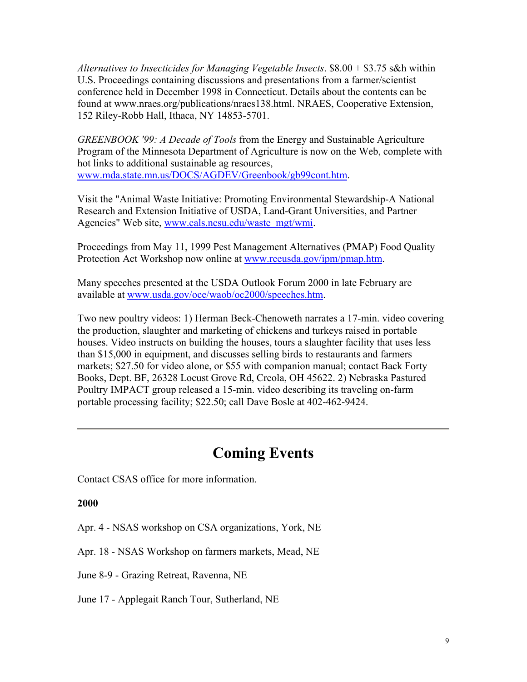*Alternatives to Insecticides for Managing Vegetable Insects*. \$8.00 + \$3.75 s&h within U.S. Proceedings containing discussions and presentations from a farmer/scientist conference held in December 1998 in Connecticut. Details about the contents can be found at www.nraes.org/publications/nraes138.html. NRAES, Cooperative Extension, 152 Riley-Robb Hall, Ithaca, NY 14853-5701.

*GREENBOOK '99: A Decade of Tools* from the Energy and Sustainable Agriculture Program of the Minnesota Department of Agriculture is now on the Web, complete with hot links to additional sustainable ag resources, www.mda.state.mn.us/DOCS/AGDEV/Greenbook/gb99cont.htm.

Visit the "Animal Waste Initiative: Promoting Environmental Stewardship-A National Research and Extension Initiative of USDA, Land-Grant Universities, and Partner Agencies" Web site, www.cals.ncsu.edu/waste\_mgt/wmi.

Proceedings from May 11, 1999 Pest Management Alternatives (PMAP) Food Quality Protection Act Workshop now online at www.reeusda.gov/ipm/pmap.htm.

Many speeches presented at the USDA Outlook Forum 2000 in late February are available at www.usda.gov/oce/waob/oc2000/speeches.htm.

Two new poultry videos: 1) Herman Beck-Chenoweth narrates a 17-min. video covering the production, slaughter and marketing of chickens and turkeys raised in portable houses. Video instructs on building the houses, tours a slaughter facility that uses less than \$15,000 in equipment, and discusses selling birds to restaurants and farmers markets; \$27.50 for video alone, or \$55 with companion manual; contact Back Forty Books, Dept. BF, 26328 Locust Grove Rd, Creola, OH 45622. 2) Nebraska Pastured Poultry IMPACT group released a 15-min. video describing its traveling on-farm portable processing facility; \$22.50; call Dave Bosle at 402-462-9424.

### **Coming Events**

Contact CSAS office for more information.

#### **2000**

Apr. 4 - NSAS workshop on CSA organizations, York, NE

Apr. 18 - NSAS Workshop on farmers markets, Mead, NE

June 8-9 - Grazing Retreat, Ravenna, NE

June 17 - Applegait Ranch Tour, Sutherland, NE